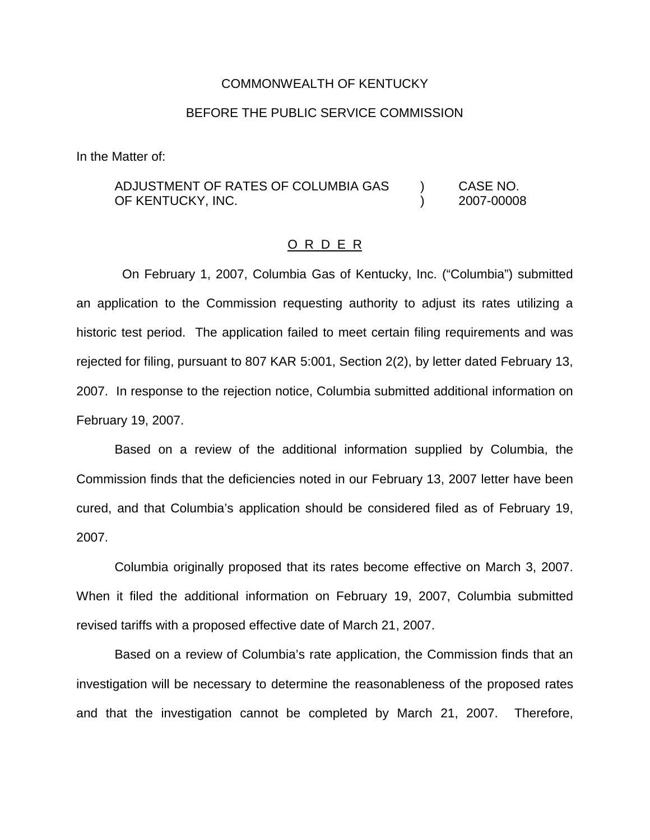#### COMMONWEALTH OF KENTUCKY

#### BEFORE THE PUBLIC SERVICE COMMISSION

In the Matter of:

### ADJUSTMENT OF RATES OF COLUMBIA GAS ) CASE NO. OF KENTUCKY, INC. (2007-00008)

#### O R D E R

On February 1, 2007, Columbia Gas of Kentucky, Inc. ("Columbia") submitted an application to the Commission requesting authority to adjust its rates utilizing a historic test period. The application failed to meet certain filing requirements and was rejected for filing, pursuant to 807 KAR 5:001, Section 2(2), by letter dated February 13, 2007. In response to the rejection notice, Columbia submitted additional information on February 19, 2007.

Based on a review of the additional information supplied by Columbia, the Commission finds that the deficiencies noted in our February 13, 2007 letter have been cured, and that Columbia's application should be considered filed as of February 19, 2007.

Columbia originally proposed that its rates become effective on March 3, 2007. When it filed the additional information on February 19, 2007, Columbia submitted revised tariffs with a proposed effective date of March 21, 2007.

Based on a review of Columbia's rate application, the Commission finds that an investigation will be necessary to determine the reasonableness of the proposed rates and that the investigation cannot be completed by March 21, 2007. Therefore,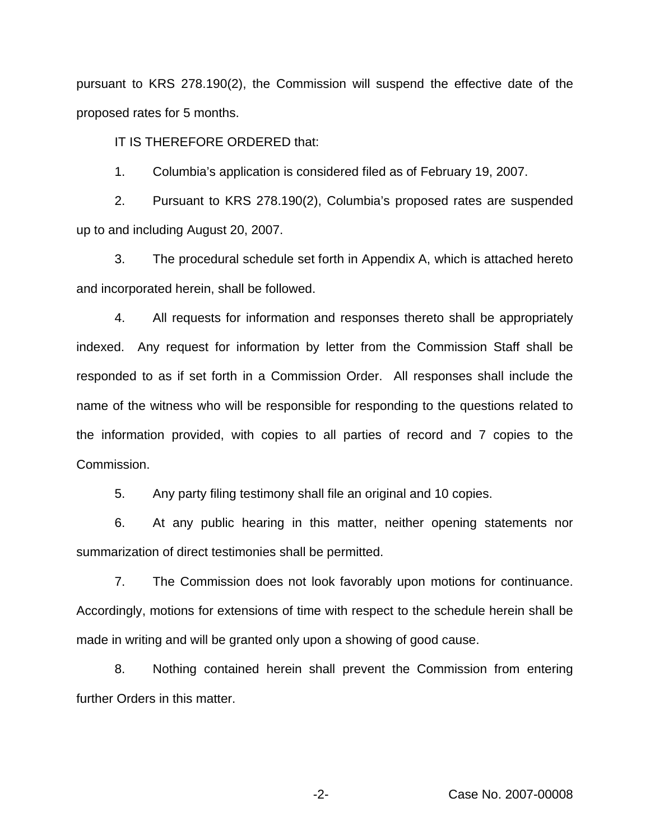pursuant to KRS 278.190(2), the Commission will suspend the effective date of the proposed rates for 5 months.

IT IS THEREFORE ORDERED that:

1. Columbia's application is considered filed as of February 19, 2007.

2. Pursuant to KRS 278.190(2), Columbia's proposed rates are suspended up to and including August 20, 2007.

3. The procedural schedule set forth in Appendix A, which is attached hereto and incorporated herein, shall be followed.

4. All requests for information and responses thereto shall be appropriately indexed. Any request for information by letter from the Commission Staff shall be responded to as if set forth in a Commission Order. All responses shall include the name of the witness who will be responsible for responding to the questions related to the information provided, with copies to all parties of record and 7 copies to the Commission.

5. Any party filing testimony shall file an original and 10 copies.

6. At any public hearing in this matter, neither opening statements nor summarization of direct testimonies shall be permitted.

7. The Commission does not look favorably upon motions for continuance. Accordingly, motions for extensions of time with respect to the schedule herein shall be made in writing and will be granted only upon a showing of good cause.

8. Nothing contained herein shall prevent the Commission from entering further Orders in this matter.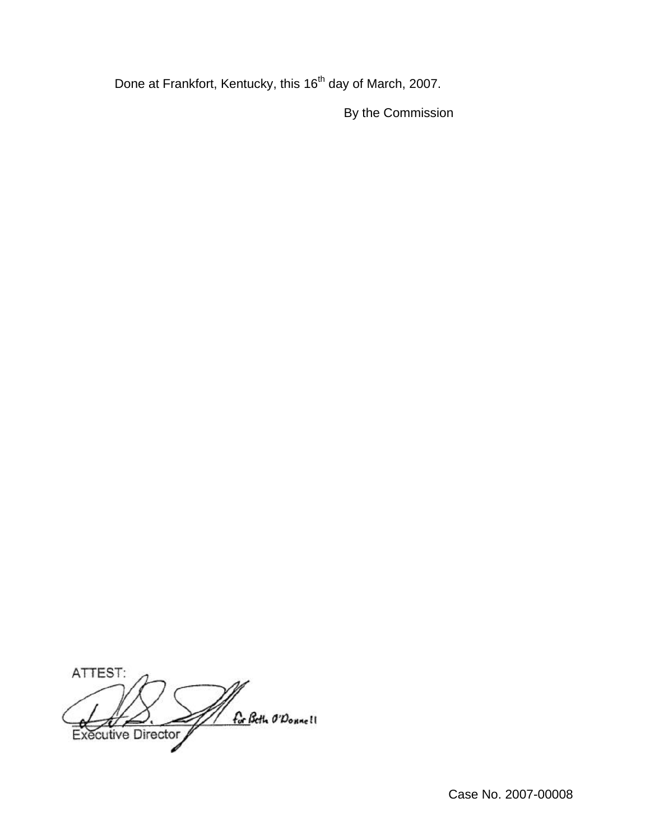Done at Frankfort, Kentucky, this 16<sup>th</sup> day of March, 2007.

By the Commission

ATTEST: for Beth O'Donne! Executive Director